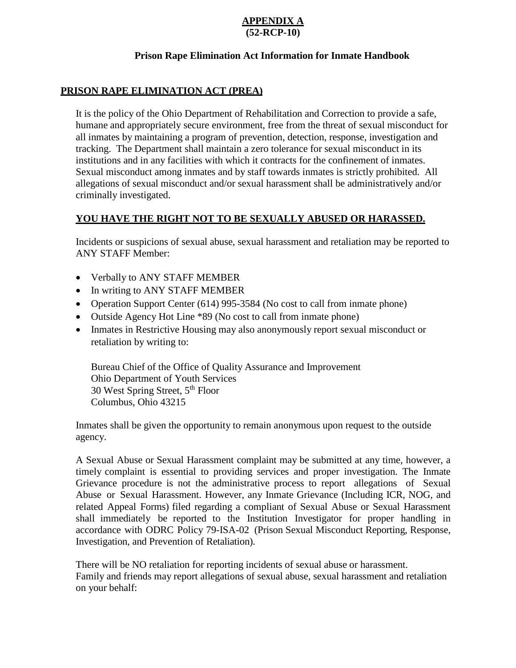#### **APPENDIX A (52-RCP-10)**

### **Prison Rape Elimination Act Information for Inmate Handbook**

### **PRISON RAPE ELIMINATION ACT (PREA)**

It is the policy of the Ohio Department of Rehabilitation and Correction to provide a safe, humane and appropriately secure environment, free from the threat of sexual misconduct for all inmates by maintaining a program of prevention, detection, response, investigation and tracking. The Department shall maintain a zero tolerance for sexual misconduct in its institutions and in any facilities with which it contracts for the confinement of inmates. Sexual misconduct among inmates and by staff towards inmates is strictly prohibited. All allegations of sexual misconduct and/or sexual harassment shall be administratively and/or criminally investigated.

# **YOU HAVE THE RIGHT NOT TO BE SEXUALLY ABUSED OR HARASSED.**

Incidents or suspicions of sexual abuse, sexual harassment and retaliation may be reported to ANY STAFF Member:

- Verbally to ANY STAFF MEMBER
- In writing to ANY STAFF MEMBER
- Operation Support Center (614) 995-3584 (No cost to call from inmate phone)
- Outside Agency Hot Line \*89 (No cost to call from inmate phone)
- Inmates in Restrictive Housing may also anonymously report sexual misconduct or retaliation by writing to:

Bureau Chief of the Office of Quality Assurance and Improvement Ohio Department of Youth Services 30 West Spring Street, 5th Floor Columbus, Ohio 43215

Inmates shall be given the opportunity to remain anonymous upon request to the outside agency.

A Sexual Abuse or Sexual Harassment complaint may be submitted at any time, however, a timely complaint is essential to providing services and proper investigation. The Inmate Grievance procedure is not the administrative process to report allegations of Sexual Abuse or Sexual Harassment. However, any Inmate Grievance (Including ICR, NOG, and related Appeal Forms) filed regarding a compliant of Sexual Abuse or Sexual Harassment shall immediately be reported to the Institution Investigator for proper handling in accordance with ODRC Policy 79-ISA-02 (Prison Sexual Misconduct Reporting, Response, Investigation, and Prevention of Retaliation).

There will be NO retaliation for reporting incidents of sexual abuse or harassment. Family and friends may report allegations of sexual abuse, sexual harassment and retaliation on your behalf: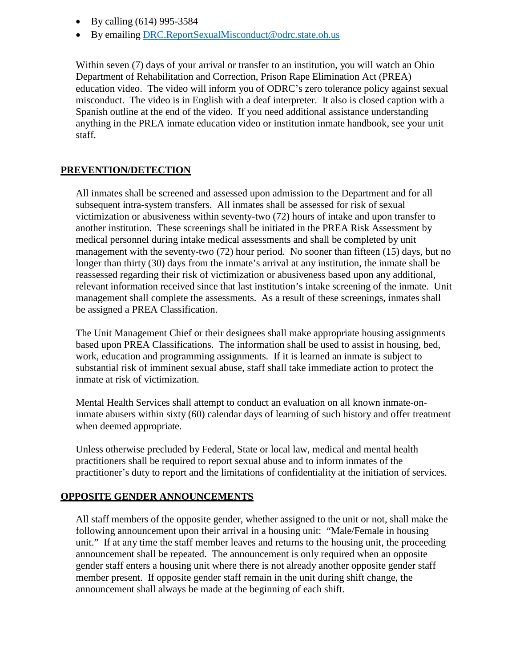- By calling (614) 995-3584
- By emailing [DRC.ReportSexualMisconduct@odrc.state.oh.us](mailto:DRC.ReportSexualMisconduct@odrc.state.oh.us)

Within seven (7) days of your arrival or transfer to an institution, you will watch an Ohio Department of Rehabilitation and Correction, Prison Rape Elimination Act (PREA) education video. The video will inform you of ODRC's zero tolerance policy against sexual misconduct. The video is in English with a deaf interpreter. It also is closed caption with a Spanish outline at the end of the video. If you need additional assistance understanding anything in the PREA inmate education video or institution inmate handbook, see your unit staff.

### **PREVENTION/DETECTION**

All inmates shall be screened and assessed upon admission to the Department and for all subsequent intra-system transfers. All inmates shall be assessed for risk of sexual victimization or abusiveness within seventy-two (72) hours of intake and upon transfer to another institution. These screenings shall be initiated in the PREA Risk Assessment by medical personnel during intake medical assessments and shall be completed by unit management with the seventy-two (72) hour period. No sooner than fifteen (15) days, but no longer than thirty (30) days from the inmate's arrival at any institution, the inmate shall be reassessed regarding their risk of victimization or abusiveness based upon any additional, relevant information received since that last institution's intake screening of the inmate. Unit management shall complete the assessments. As a result of these screenings, inmates shall be assigned a PREA Classification.

The Unit Management Chief or their designees shall make appropriate housing assignments based upon PREA Classifications. The information shall be used to assist in housing, bed, work, education and programming assignments. If it is learned an inmate is subject to substantial risk of imminent sexual abuse, staff shall take immediate action to protect the inmate at risk of victimization.

Mental Health Services shall attempt to conduct an evaluation on all known inmate-oninmate abusers within sixty (60) calendar days of learning of such history and offer treatment when deemed appropriate.

Unless otherwise precluded by Federal, State or local law, medical and mental health practitioners shall be required to report sexual abuse and to inform inmates of the practitioner's duty to report and the limitations of confidentiality at the initiation of services.

#### **OPPOSITE GENDER ANNOUNCEMENTS**

All staff members of the opposite gender, whether assigned to the unit or not, shall make the following announcement upon their arrival in a housing unit: "Male/Female in housing unit." If at any time the staff member leaves and returns to the housing unit, the proceeding announcement shall be repeated. The announcement is only required when an opposite gender staff enters a housing unit where there is not already another opposite gender staff member present. If opposite gender staff remain in the unit during shift change, the announcement shall always be made at the beginning of each shift.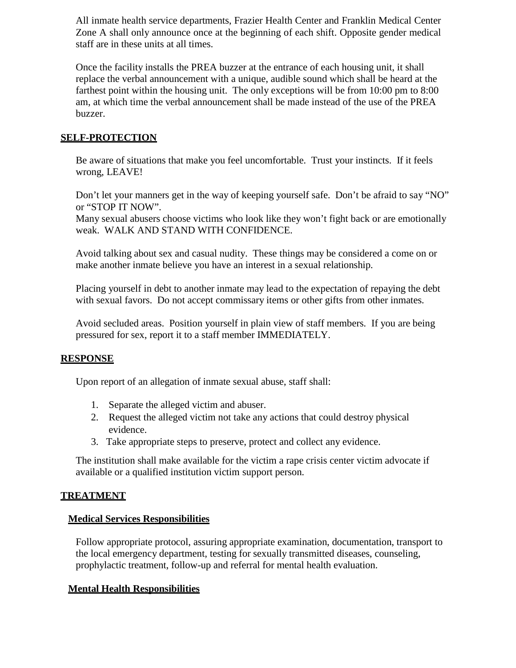All inmate health service departments, Frazier Health Center and Franklin Medical Center Zone A shall only announce once at the beginning of each shift. Opposite gender medical staff are in these units at all times.

Once the facility installs the PREA buzzer at the entrance of each housing unit, it shall replace the verbal announcement with a unique, audible sound which shall be heard at the farthest point within the housing unit. The only exceptions will be from 10:00 pm to 8:00 am, at which time the verbal announcement shall be made instead of the use of the PREA buzzer.

# **SELF-PROTECTION**

Be aware of situations that make you feel uncomfortable. Trust your instincts. If it feels wrong, LEAVE!

Don't let your manners get in the way of keeping yourself safe. Don't be afraid to say "NO" or "STOP IT NOW".

Many sexual abusers choose victims who look like they won't fight back or are emotionally weak. WALK AND STAND WITH CONFIDENCE.

Avoid talking about sex and casual nudity. These things may be considered a come on or make another inmate believe you have an interest in a sexual relationship.

Placing yourself in debt to another inmate may lead to the expectation of repaying the debt with sexual favors. Do not accept commissary items or other gifts from other inmates.

Avoid secluded areas. Position yourself in plain view of staff members. If you are being pressured for sex, report it to a staff member IMMEDIATELY.

## **RESPONSE**

Upon report of an allegation of inmate sexual abuse, staff shall:

- 1. Separate the alleged victim and abuser.
- 2. Request the alleged victim not take any actions that could destroy physical evidence.
- 3. Take appropriate steps to preserve, protect and collect any evidence.

The institution shall make available for the victim a rape crisis center victim advocate if available or a qualified institution victim support person.

## **TREATMENT**

## **Medical Services Responsibilities**

Follow appropriate protocol, assuring appropriate examination, documentation, transport to the local emergency department, testing for sexually transmitted diseases, counseling, prophylactic treatment, follow-up and referral for mental health evaluation.

## **Mental Health Responsibilities**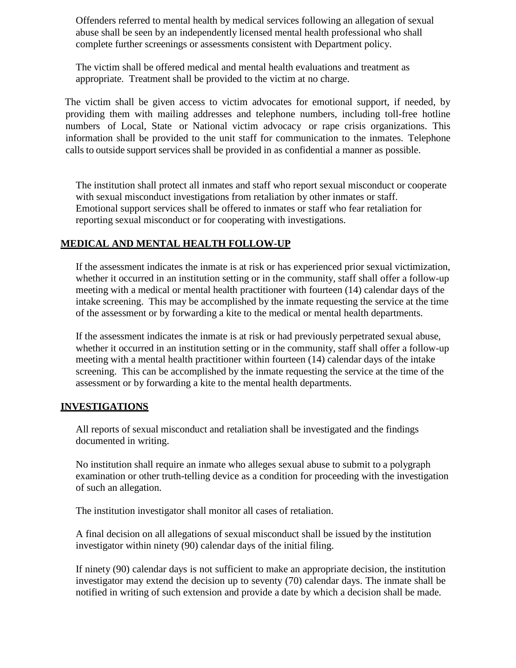Offenders referred to mental health by medical services following an allegation of sexual abuse shall be seen by an independently licensed mental health professional who shall complete further screenings or assessments consistent with Department policy.

The victim shall be offered medical and mental health evaluations and treatment as appropriate. Treatment shall be provided to the victim at no charge.

The victim shall be given access to victim advocates for emotional support, if needed, by providing them with mailing addresses and telephone numbers, including toll-free hotline numbers of Local, State or National victim advocacy or rape crisis organizations. This information shall be provided to the unit staff for communication to the inmates. Telephone calls to outside support services shall be provided in as confidential a manner as possible.

The institution shall protect all inmates and staff who report sexual misconduct or cooperate with sexual misconduct investigations from retaliation by other inmates or staff. Emotional support services shall be offered to inmates or staff who fear retaliation for reporting sexual misconduct or for cooperating with investigations.

### **MEDICAL AND MENTAL HEALTH FOLLOW-UP**

If the assessment indicates the inmate is at risk or has experienced prior sexual victimization, whether it occurred in an institution setting or in the community, staff shall offer a follow-up meeting with a medical or mental health practitioner with fourteen (14) calendar days of the intake screening. This may be accomplished by the inmate requesting the service at the time of the assessment or by forwarding a kite to the medical or mental health departments.

If the assessment indicates the inmate is at risk or had previously perpetrated sexual abuse, whether it occurred in an institution setting or in the community, staff shall offer a follow-up meeting with a mental health practitioner within fourteen (14) calendar days of the intake screening. This can be accomplished by the inmate requesting the service at the time of the assessment or by forwarding a kite to the mental health departments.

#### **INVESTIGATIONS**

All reports of sexual misconduct and retaliation shall be investigated and the findings documented in writing.

No institution shall require an inmate who alleges sexual abuse to submit to a polygraph examination or other truth-telling device as a condition for proceeding with the investigation of such an allegation.

The institution investigator shall monitor all cases of retaliation.

A final decision on all allegations of sexual misconduct shall be issued by the institution investigator within ninety (90) calendar days of the initial filing.

If ninety (90) calendar days is not sufficient to make an appropriate decision, the institution investigator may extend the decision up to seventy (70) calendar days. The inmate shall be notified in writing of such extension and provide a date by which a decision shall be made.